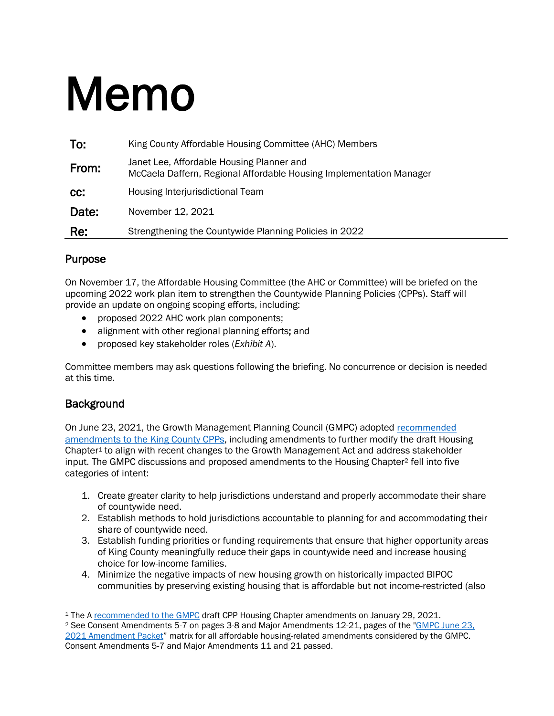# Memo

| To:   | King County Affordable Housing Committee (AHC) Members                                                           |  |
|-------|------------------------------------------------------------------------------------------------------------------|--|
| From: | Janet Lee, Affordable Housing Planner and<br>McCaela Daffern, Regional Affordable Housing Implementation Manager |  |
| CC:   | Housing Interjurisdictional Team                                                                                 |  |
| Date: | November 12, 2021                                                                                                |  |
| Re:   | Strengthening the Countywide Planning Policies in 2022                                                           |  |

## Purpose

On November 17, the Affordable Housing Committee (the AHC or Committee) will be briefed on the upcoming 2022 work plan item to strengthen the Countywide Planning Policies (CPPs). Staff will provide an update on ongoing scoping efforts, including:

- proposed 2022 AHC work plan components;
- alignment with other regional planning efforts; and
- proposed key stakeholder roles (*Exhibit A*).

Committee members may ask questions following the briefing. No concurrence or decision is needed at this time.

## **Background**

On June 23, 2021, the Growth Management Planning Council (GMPC) adopted [recommended](https://kingcounty.gov/~/media/depts/executive/performance-strategy-budget/regional-planning/CPPs/2021_KC_CPPs_Package.ashx?la=en)  [amendments to the King County CPPs,](https://kingcounty.gov/~/media/depts/executive/performance-strategy-budget/regional-planning/CPPs/2021_KC_CPPs_Package.ashx?la=en) including amendments to further modify the draft Housing Chapter<sup>1</sup> to align with recent changes to the Growth Management Act and address stakeholder input. The GMPC discussions and proposed amendments to the Housing Chapter<sup>2</sup> fell into five categories of intent:

- 1. Create greater clarity to help jurisdictions understand and properly accommodate their share of countywide need.
- 2. Establish methods to hold jurisdictions accountable to planning for and accommodating their share of countywide need.
- 3. Establish funding priorities or funding requirements that ensure that higher opportunity areas of King County meaningfully reduce their gaps in countywide need and increase housing choice for low-income families.
- 4. Minimize the negative impacts of new housing growth on historically impacted BIPOC communities by preserving existing housing that is affordable but not income-restricted (also

<sup>&</sup>lt;sup>1</sup> The A [recommended to the GMPC](https://kingcounty.gov/~/media/depts/executive/performance-strategy-budget/regional-planning/GrowthManagement/GMPC-2021/GMPC-Meeting-022421/6a_GMPC-HousingCPPs-2021-Update-Staff_Report-022421.ashx?la=en) draft CPP Housing Chapter amendments on January 29, 2021.

<sup>2</sup> See Consent Amendments 5-7 on pages 3-8 and Major Amendments 12-21, pages of the ["GMPC June 23,](GMPC%20June%2023,%202021%20Amendment%20Packet)  [2021 Amendment Packet](GMPC%20June%2023,%202021%20Amendment%20Packet)" matrix for all affordable housing-related amendments considered by the GMPC. Consent Amendments 5-7 and Major Amendments 11 and 21 passed.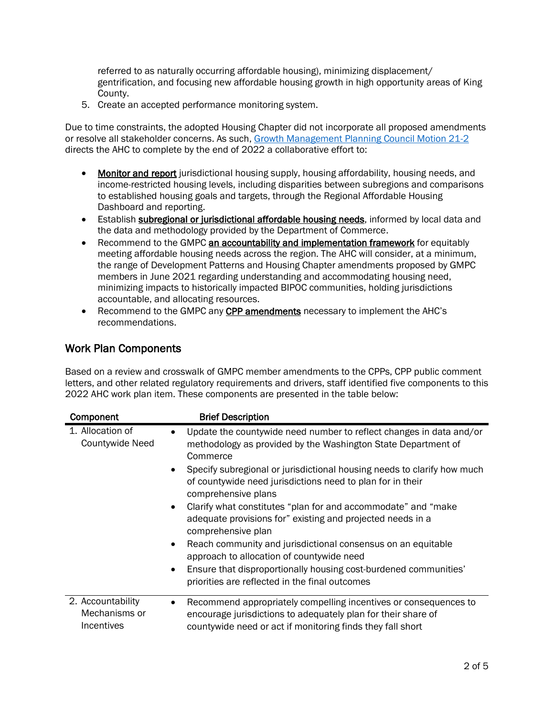referred to as naturally occurring affordable housing), minimizing displacement/ gentrification, and focusing new affordable housing growth in high opportunity areas of King County.

5. Create an accepted performance monitoring system.

Due to time constraints, the adopted Housing Chapter did not incorporate all proposed amendments or resolve all stakeholder concerns. As such, [Growth Management Planning Council Motion 21-2](https://kingcounty.gov/~/media/depts/executive/performance-strategy-budget/regional-planning/CPPs/2021_KC_CPPs_Package.ashx?la=en) directs the AHC to complete by the end of 2022 a collaborative effort to:

- Monitor and report jurisdictional housing supply, housing affordability, housing needs, and income-restricted housing levels, including disparities between subregions and comparisons to established housing goals and targets, through the Regional Affordable Housing Dashboard and reporting.
- Establish **subregional or jurisdictional affordable housing needs**, informed by local data and the data and methodology provided by the Department of Commerce.
- Recommend to the GMPC an accountability and implementation framework for equitably meeting affordable housing needs across the region. The AHC will consider, at a minimum, the range of Development Patterns and Housing Chapter amendments proposed by GMPC members in June 2021 regarding understanding and accommodating housing need, minimizing impacts to historically impacted BIPOC communities, holding jurisdictions accountable, and allocating resources.
- Recommend to the GMPC any **CPP amendments** necessary to implement the AHC's recommendations.

#### Work Plan Components

Based on a review and crosswalk of GMPC member amendments to the CPPs, CPP public comment letters, and other related regulatory requirements and drivers, staff identified five components to this 2022 AHC work plan item. These components are presented in the table below:

| Component                                        | <b>Brief Description</b>                                                                                                                                                                                     |
|--------------------------------------------------|--------------------------------------------------------------------------------------------------------------------------------------------------------------------------------------------------------------|
| 1. Allocation of<br><b>Countywide Need</b>       | Update the countywide need number to reflect changes in data and/or<br>methodology as provided by the Washington State Department of<br>Commerce                                                             |
|                                                  | Specify subregional or jurisdictional housing needs to clarify how much<br>of countywide need jurisdictions need to plan for in their<br>comprehensive plans                                                 |
|                                                  | Clarify what constitutes "plan for and accommodate" and "make<br>adequate provisions for" existing and projected needs in a<br>comprehensive plan                                                            |
|                                                  | Reach community and jurisdictional consensus on an equitable<br>$\bullet$<br>approach to allocation of countywide need                                                                                       |
|                                                  | Ensure that disproportionally housing cost-burdened communities'<br>$\bullet$<br>priorities are reflected in the final outcomes                                                                              |
| 2. Accountability<br>Mechanisms or<br>Incentives | Recommend appropriately compelling incentives or consequences to<br>$\bullet$<br>encourage jurisdictions to adequately plan for their share of<br>countywide need or act if monitoring finds they fall short |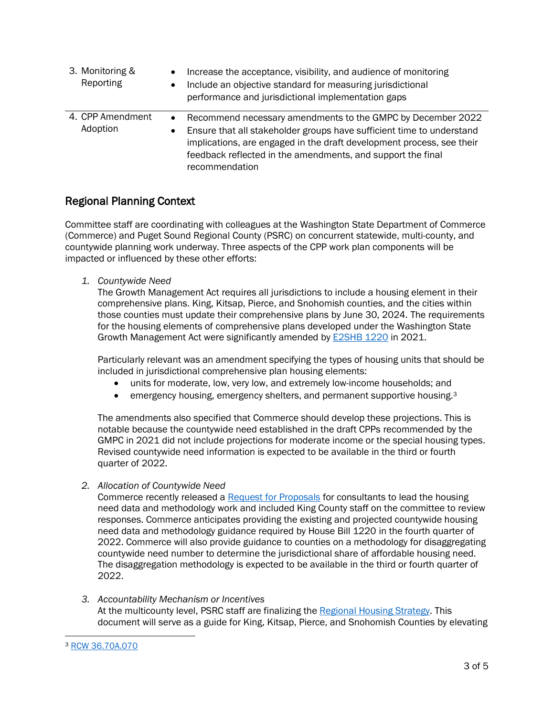| 3. Monitoring &<br>Reporting | Increase the acceptance, visibility, and audience of monitoring<br>Include an objective standard for measuring jurisdictional<br>performance and jurisdictional implementation gaps                                                                                                                                      |
|------------------------------|--------------------------------------------------------------------------------------------------------------------------------------------------------------------------------------------------------------------------------------------------------------------------------------------------------------------------|
| 4. CPP Amendment<br>Adoption | Recommend necessary amendments to the GMPC by December 2022<br>$\bullet$<br>Ensure that all stakeholder groups have sufficient time to understand<br>$\bullet$<br>implications, are engaged in the draft development process, see their<br>feedback reflected in the amendments, and support the final<br>recommendation |

## Regional Planning Context

Committee staff are coordinating with colleagues at the Washington State Department of Commerce (Commerce) and Puget Sound Regional County (PSRC) on concurrent statewide, multi-county, and countywide planning work underway. Three aspects of the CPP work plan components will be impacted or influenced by these other efforts:

*1. Countywide Need*

The Growth Management Act requires all jurisdictions to include a housing element in their comprehensive plans. King, Kitsap, Pierce, and Snohomish counties, and the cities within those counties must update their comprehensive plans by June 30, 2024. The requirements for the housing elements of comprehensive plans developed under the Washington State Growth Management Act were significantly amended by [E2SHB 1220](https://lawfilesext.leg.wa.gov/biennium/2021-22/Pdf/Bills/Session%20Laws/House/1220-S2.SL.pdf?q=20211021104806) in 2021.

Particularly relevant was an amendment specifying the types of housing units that should be included in jurisdictional comprehensive plan housing elements:

- units for moderate, low, very low, and extremely low-income households; and
- emergency housing, emergency shelters, and permanent supportive housing.<sup>3</sup>

The amendments also specified that Commerce should develop these projections. This is notable because the countywide need established in the draft CPPs recommended by the GMPC in 2021 did not include projections for moderate income or the special housing types. Revised countywide need information is expected to be available in the third or fourth quarter of 2022.

*2. Allocation of Countywide Need* 

Commerce recently released a [Request for Proposals](https://www.commerce.wa.gov/wp-content/uploads/2021/08/RFP-22-63322-001-Projected-Housing-Needs.pdf) for consultants to lead the housing need data and methodology work and included King County staff on the committee to review responses. Commerce anticipates providing the existing and projected countywide housing need data and methodology guidance required by House Bill 1220 in the fourth quarter of 2022. Commerce will also provide guidance to counties on a methodology for disaggregating countywide need number to determine the jurisdictional share of affordable housing need. The disaggregation methodology is expected to be available in the third or fourth quarter of 2022.

*3. Accountability Mechanism or Incentives* At the multicounty level, PSRC staff are finalizing the [Regional Housing Strategy.](https://www.psrc.org/sites/default/files/regional-housing-strategy.pdf) This document will serve as a guide for King, Kitsap, Pierce, and Snohomish Counties by elevating

<sup>3</sup> [RCW 36.70A.070](https://app.leg.wa.gov/rcw/default.aspx?cite=36.70A.070)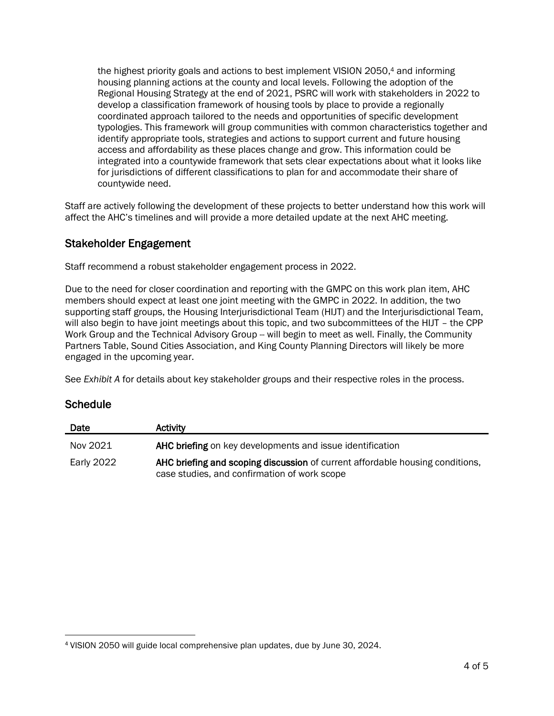the highest priority goals and actions to best implement VISION 2050, <sup>4</sup> and informing housing planning actions at the county and local levels. Following the adoption of the Regional Housing Strategy at the end of 2021, PSRC will work with stakeholders in 2022 to develop a classification framework of housing tools by place to provide a regionally coordinated approach tailored to the needs and opportunities of specific development typologies. This framework will group communities with common characteristics together and identify appropriate tools, strategies and actions to support current and future housing access and affordability as these places change and grow. This information could be integrated into a countywide framework that sets clear expectations about what it looks like for jurisdictions of different classifications to plan for and accommodate their share of countywide need.

Staff are actively following the development of these projects to better understand how this work will affect the AHC's timelines and will provide a more detailed update at the next AHC meeting.

### Stakeholder Engagement

Staff recommend a robust stakeholder engagement process in 2022.

Due to the need for closer coordination and reporting with the GMPC on this work plan item, AHC members should expect at least one joint meeting with the GMPC in 2022. In addition, the two supporting staff groups, the Housing Interjurisdictional Team (HIJT) and the Interjurisdictional Team, will also begin to have joint meetings about this topic, and two subcommittees of the HIJT - the CPP Work Group and the Technical Advisory Group -- will begin to meet as well. Finally, the Community Partners Table, Sound Cities Association, and King County Planning Directors will likely be more engaged in the upcoming year.

See *Exhibit A* for details about key stakeholder groups and their respective roles in the process.

#### **Schedule**

| Date              | Activity                                                                                                                      |
|-------------------|-------------------------------------------------------------------------------------------------------------------------------|
| Nov 2021          | AHC briefing on key developments and issue identification                                                                     |
| <b>Early 2022</b> | AHC briefing and scoping discussion of current affordable housing conditions,<br>case studies, and confirmation of work scope |

<sup>4</sup> VISION 2050 will guide local comprehensive plan updates, due by June 30, 2024.